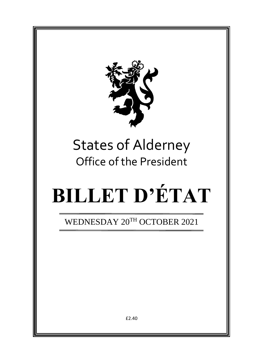

# States of Alderney Office of the President

# **BILLET D'ÉTAT**

WEDNESDAY 20TH OCTOBER 2021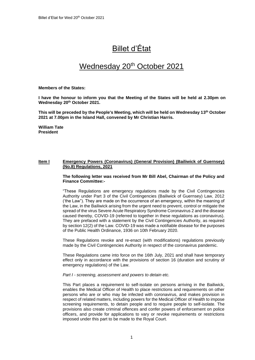## Billet d'État

### Wednesday 20<sup>th</sup> October 2021

#### **Members of the States:**

**I have the honour to inform you that the Meeting of the States will be held at 2.30pm on Wednesday 20 th October 2021.** 

**This will be preceded by the People's Meeting, which will be held on Wednesday 13 th October 2021 at 7.00pm in the Island Hall, convened by Mr Christian Harris.**

**William Tate President**

#### **Item I Emergency Powers (Coronavirus) (General Provision) (Bailiwick of Guernsey) (No.8) Regulations, 2021**

#### **The following letter was received from Mr Bill Abel, Chairman of the Policy and Finance Committee:-**

"These Regulations are emergency regulations made by the Civil Contingencies Authority under Part 3 of the Civil Contingencies (Bailiwick of Guernsey) Law, 2012 ('the Law"). They are made on the occurrence of an emergency, within the meaning of the Law, in the Bailiwick arising from the urgent need to prevent, control or mitigate the spread of the virus Severe Acute Respiratory Syndrome Coronavirus 2 and the disease caused thereby, COVID-19 (referred to together in these regulations as coronavirus). They are prefaced with a statement by the Civil Contingencies Authority, as required by section 12(2) of the Law. COVID-19 was made a notifiable disease for the purposes of the Public Health Ordinance, 1936 on 10th February 2020.

These Regulations revoke and re-enact (with modifications) regulations previously made by the Civil Contingencies Authority in respect of the coronavirus pandemic.

These Regulations came into force on the 16th July, 2021 and shall have temporary effect only in accordance with the provisions of section 16 (duration and scrutiny of emergency regulations) of the Law.

#### *Part I - screening, assessment and powers to detain etc.*

This Part places a requirement to self-isolate on persons arriving in the Bailiwick, enables the Medical Officer of Health to place restrictions and requirements on other persons who are or who may be infected with coronavirus, and makes provision in respect of related matters, including powers for the Medical Officer of Health to impose screening requirements, to detain people and to require people to self-isolate. The provisions also create criminal offences and confer powers of enforcement on police officers, and provide for applications to vary or revoke requirements or restrictions imposed under this part to be made to the Royal Court.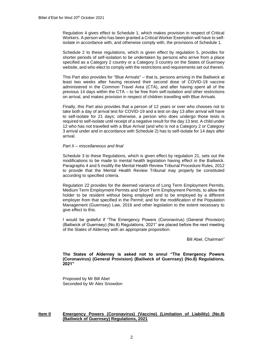Regulation 4 gives effect to Schedule 1, which makes provision in respect of Critical Workers. A person who has been granted a Critical Worker Exemption will have to selfisolate in accordance with, and otherwise comply with, the provisions of Schedule 1.

Schedule 2 to these regulations, which is given effect by regulation 5, provides for shorter periods of self-isolation to be undertaken by persons who arrive from a place specified as a Category 2 country or a Category 3 country on the States of Guernsey website, and who elect to comply with the restrictions and requirements set out therein.

This Part also provides for "Blue Arrivals" – that is, persons arriving in the Bailiwick at least two weeks after having received their second dose of COVID-19 vaccine administered in the Common Travel Area (CTA), and after having spent all of the previous 14 days within the CTA – to be free from self-isolation and other restrictions on arrival, and makes provision in respect of children travelling with Blue Arrivals.

Finally, this Part also provides that a person of 12 years or over who chooses not to take both a day of arrival test for COVID-19 and a test on day 13 after arrival will have to self-isolate for 21 days; otherwise, a person who does undergo those tests is required to self-isolate until receipt of a negative result for the day 13 test. A child under 12 who has not travelled with a Blue Arrival (and who is not a Category 2 or Category 3 arrival under and in accordance with Schedule 2) has to self-isolate for 14 days after arrival.

#### *Part II – miscellaneous and final*

Schedule 3 to these Regulations, which is given effect by regulation 21, sets out the modifications to be made to mental health legislation having effect in the Bailiwick. Paragraphs 4 and 5 modify the Mental Health Review Tribunal Procedure Rules, 2012 to provide that the Mental Health Review Tribunal may properly be constituted according to specified criteria.

Regulation 22 provides for the deemed variance of Long Term Employment Permits, Medium Term Employment Permits and Short Term Employment Permits, to allow the holder to be resident without being employed and to be employed by a different employer from that specified in the Permit; and for the modification of the Population Management (Guernsey) Law, 2016 and other legislation to the extent necessary to give effect to this.

I would be grateful if "The Emergency Powers (Coronavirus) (General Provision) (Bailiwick of Guernsey) (No.8) Regulations, 2021" are placed before the next meeting of the States of Alderney with an appropriate proposition.

Bill Abel, Chairman"

**The States of Alderney is asked not to annul "The Emergency Powers (Coronavirus) (General Provision) (Bailiwick of Guernsey) (No.8) Regulations, 2021"**

Proposed by Mr Bill Abel Seconded by Mr Alex Snowdon

#### **Item II Emergency Powers (Coronavirus) (Vaccine) (Limitation of Liability) (No.8) (Bailiwick of Guernsey) Regulations, 2021**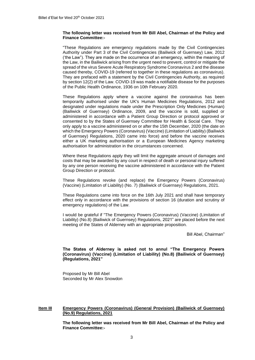#### **The following letter was received from Mr Bill Abel, Chairman of the Policy and Finance Committee:-**

"These Regulations are emergency regulations made by the Civil Contingencies Authority under Part 3 of the Civil Contingencies (Bailiwick of Guernsey) Law, 2012 ('the Law"). They are made on the occurrence of an emergency, within the meaning of the Law, in the Bailiwick arising from the urgent need to prevent, control or mitigate the spread of the virus Severe Acute Respiratory Syndrome Coronavirus 2 and the disease caused thereby, COVID-19 (referred to together in these regulations as coronavirus). They are prefaced with a statement by the Civil Contingencies Authority, as required by section 12(2) of the Law. COVID-19 was made a notifiable disease for the purposes of the Public Health Ordinance, 1936 on 10th February 2020.

These Regulations apply where a vaccine against the coronavirus has been temporarily authorised under the UK's Human Medicines Regulations, 2012 and designated under regulations made under the Prescription Only Medicines (Human) (Bailiwick of Guernsey) Ordinance, 2009, and the vaccine is sold, supplied or administered in accordance with a Patient Group Direction or protocol approved or consented to by the States of Guernsey Committee for Health & Social Care. They only apply to a vaccine administered on or after the 15th December, 2020 (the date on which the Emergency Powers (Coronavirus) (Vaccine) (Limitation of Liability) (Bailiwick of Guernsey) Regulations, 2020 came into force) and before the vaccine receives either a UK marketing authorisation or a European Medicines Agency marketing authorisation for administration in the circumstances concerned.

Where these Regulations apply they will limit the aggregate amount of damages and costs that may be awarded by any court in respect of death or personal injury suffered by any one person receiving the vaccine administered in accordance with the Patient Group Direction or protocol.

These Regulations revoke (and replace) the Emergency Powers (Coronavirus) (Vaccine) (Limitation of Liability) (No. 7) (Bailiwick of Guernsey) Regulations, 2021.

These Regulations came into force on the 16th July 2021 and shall have temporary effect only in accordance with the provisions of section 16 (duration and scrutiny of emergency regulations) of the Law.

I would be grateful if "The Emergency Powers (Coronavirus) (Vaccine) (Limitation of Liability) (No.8) (Bailiwick of Guernsey) Regulations, 2021" are placed before the next meeting of the States of Alderney with an appropriate proposition.

Bill Abel, Chairman"

#### **The States of Alderney is asked not to annul "The Emergency Powers (Coronavirus) (Vaccine) (Limitation of Liability) (No.8) (Bailiwick of Guernsey) (Regulations, 2021"**

Proposed by Mr Bill Abel Seconded by Mr Alex Snowdon

#### **Item III Emergency Powers (Coronavirus) (General Provision) (Bailiwick of Guernsey) (No.9) Regulations, 2021**

**The following letter was received from Mr Bill Abel, Chairman of the Policy and Finance Committee:-**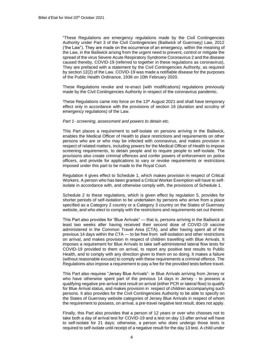"These Regulations are emergency regulations made by the Civil Contingencies Authority under Part 3 of the Civil Contingencies (Bailiwick of Guernsey) Law, 2012 ('the Law"). They are made on the occurrence of an emergency, within the meaning of the Law, in the Bailiwick arising from the urgent need to prevent, control or mitigate the spread of the virus Severe Acute Respiratory Syndrome Coronavirus 2 and the disease caused thereby, COVID-19 (referred to together in these regulations as coronavirus). They are prefaced with a statement by the Civil Contingencies Authority, as required by section 12(2) of the Law. COVID-19 was made a notifiable disease for the purposes of the Public Health Ordinance, 1936 on 10th February 2020.

These Regulations revoke and re-enact (with modifications) regulations previously made by the Civil Contingencies Authority in respect of the coronavirus pandemic.

These Regulations came into force on the  $13<sup>th</sup>$  August 2021 and shall have temporary effect only in accordance with the provisions of section 16 (duration and scrutiny of emergency regulations) of the Law.

#### *Part 1- screening, assessment and powers to detain etc.*

This Part places a requirement to self-isolate on persons arriving in the Bailiwick, enables the Medical Officer of Health to place restrictions and requirements on other persons who are or who may be infected with coronavirus, and makes provision in respect of related matters, including powers for the Medical Officer of Health to impose screening requirements, to detain people and to require people to self-isolate. The provisions also create criminal offences and confer powers of enforcement on police officers, and provide for applications to vary or revoke requirements or restrictions imposed under this part to be made to the Royal Court.

Regulation 4 gives effect to Schedule 1, which makes provision in respect of Critical Workers. A person who has been granted a Critical Worker Exemption will have to selfisolate in accordance with, and otherwise comply with, the provisions of Schedule 1.

Schedule 2 to these regulations, which is given effect by regulation 5, provides for shorter periods of self-isolation to be undertaken by persons who arrive from a place specified as a Category 2 country or a Category 3 country on the States of Guernsey website, and who elect to comply with the restrictions and requirements set out therein.

This Part also provides for 'Blue Arrivals" — that is, persons arriving in the Bailiwick at least two weeks after having received their second dose of COVID-19 vaccine administered in the Common Travel Area (CTA), and after having spent all of the previous 14 days within the CTA — to be free from self-isolation and other restrictions on arrival, and makes provision in respect of children travelling with Blue Arrivals. It imposes a requirement for Blue Arrivals to take self-administered lateral flow tests for COVID-19 provided to them on arrival, to report any positive test results to Public Health, and to comply with any direction given to them on so doing. It makes a failure (without reasonable excuse) to comply with these requirements a criminal offence. The Regulations also impose a requirement to pay a fee for the provided tests before travel.

This Part also requires "Jersey Blue Arrivals"- ie Blue Arrivals arriving from Jersey or who have otherwise spent part of the previous 14 days in Jersey - to possess a qualifying negative pre-arrival test result on arrival (either PCR or lateral flow) to qualify for Blue Arrival status, and makes provision in respect of children accompanying such persons. It also provides for the Civil Contingencies Authority to be able to specify on the States of Guernsey website categories of Jersey Blue Arrivals in respect of whom the requirement to possess, on arrival, a pre-travel negative test result, does not apply.

Finally, this Part also provides that a person of 12 years or over who chooses not to take both a day of arrival test for COVID-19 and a test on day 13 after arrival will have to self-isolate for 21 days; otherwise, a person who does undergo those tests is required to self-isolate until receipt of a negative result for the day 13 test. A child under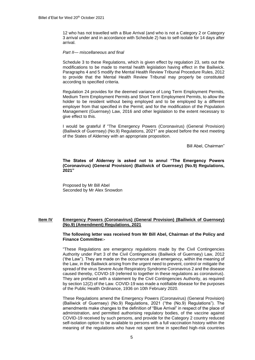12 who has not travelled with a Blue Arrival (and who is not a Category 2 or Category 3 arrival under and in accordance with Schedule 2) has to self-isolate for 14 days after arrival.

#### *Part II— miscellaneous and final*

Schedule 3 to these Regulations, which is given effect by regulation 23, sets out the modifications to be made to mental health legislation having effect in the Bailiwick. Paragraphs 4 and 5 modify the Mental Health Review Tribunal Procedure Rules, 2012 to provide that the Mental Health Review Tribunal may properly be constituted according to specified criteria.

Regulation 24 provides for the deemed variance of Long Term Employment Permits, Medium Term Employment Permits and Short Term Employment Permits, to allow the holder to be resident without being employed and to be employed by a different employer from that specified in the Permit; and for the modification of the Population Management (Guernsey) Law, 2016 and other legislation to the extent necessary to give effect to this.

I would be grateful if "The Emergency Powers (Coronavirus) (General Provision) (Bailiwick of Guernsey) (No.9) Regulations, 2021" are placed before the next meeting of the States of Alderney with an appropriate proposition.

Bill Abel, Chairman"

**The States of Alderney is asked not to annul "The Emergency Powers (Coronavirus) (General Provision) (Bailiwick of Guernsey) (No.9) Regulations, 2021"**

Proposed by Mr Bill Abel Seconded by Mr Alex Snowdon

#### **Item IV Emergency Powers (Coronavirus) (General Provision) (Bailiwick of Guernsey) (No.9) (Amendment) Regulations, 2021**

#### **The following letter was received from Mr Bill Abel, Chairman of the Policy and Finance Committee:-**

"These Regulations are emergency regulations made by the Civil Contingencies Authority under Part 3 of the Civil Contingencies (Bailiwick of Guernsey) Law, 2012 ('the Law"). They are made on the occurrence of an emergency, within the meaning of the Law, in the Bailiwick arising from the urgent need to prevent, control or mitigate the spread of the virus Severe Acute Respiratory Syndrome Coronavirus 2 and the disease caused thereby, COVID-19 (referred to together in these regulations as coronavirus). They are prefaced with a statement by the Civil Contingencies Authority, as required by section 12(2) of the Law. COVID-19 was made a notifiable disease for the purposes of the Public Health Ordinance, 1936 on 10th February 2020.

These Regulations amend the Emergency Powers (Coronavirus) (General Provision) (Bailiwick of Guernsey) (No.9) Regulations, 2021 ("the (No.9) Regulations"). The amendments make changes to the definition of "Blue Arrival" in respect of the place of administration, and permitted authorising regulatory bodies, of the vaccine against COVID-19 received by such persons, and provide for the Category 2 country reduced self-isolation option to be available to persons with a full vaccination history within the meaning of the regulations who have not spent time in specified high-risk countries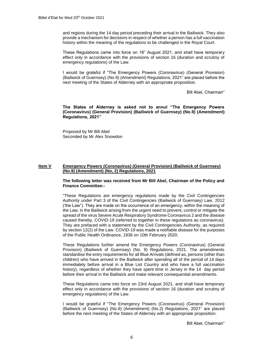and regions during the 14 day period preceding their arrival in the Bailiwick. They also provide a mechanism for decisions in respect of whether a person has a full vaccination history within the meaning of the regulations to be challenged in the Royal Court.

These Regulations came into force on 16" August 2021, and shall have temporary effect only in accordance with the provisions of section 16 (duration and scrutiny of emergency regulations) of the Law.

I would be grateful if "The Emergency Powers (Coronavirus) (General Provision) (Bailiwick of Guernsey) (No.9) (Amendment) Regulations, 2021" are placed before the next meeting of the States of Alderney with an appropriate proposition.

Bill Abel, Chairman"

**The States of Alderney is asked not to annul "The Emergency Powers (Coronavirus) (General Provision) (Bailiwick of Guernsey) (No.9) (Amendment) Regulations, 2021"**

Proposed by Mr Bill Abel Seconded by Mr Alex Snowdon

#### **Item V Emergency Powers (Coronavirus) (General Provision) (Bailiwick of Guernsey) (No.9) (Amendment) (No, 2) Regulations, 2021**

**The following letter was received from Mr Bill Abel, Chairman of the Policy and Finance Committee:-**

"These Regulations are emergency regulations made by the Civil Contingencies Authority under Part 3 of the Civil Contingencies (Bailiwick of Guernsey) Law, 2012 ('the Law"). They are made on the occurrence of an emergency, within the meaning of the Law, in the Bailiwick arising from the urgent need to prevent, control or mitigate the spread of the virus Severe Acute Respiratory Syndrome Coronavirus 2 and the disease caused thereby, COVID-19 (referred to together in these regulations as coronavirus). They are prefaced with a statement by the Civil Contingencies Authority, as required by section 12(2) of the Law. COVID-19 was made a notifiable disease for the purposes of the Public Health Ordinance, 1936 on 10th February 2020.

These Regulations further amend the Emergency Powers (Coronavirus) (General Provision) (Bailiwick of Guernsey) (No. 9) Regulations, 2021. The amendments standardise the entry requirements for all Blue Arrivals (defined as, persons (other than children) who have arrived in the Bailiwick after spending all of the period of 14 days immediately before arrival in a Blue List Country and who have a full vaccination history), regardless of whether they have spent time in Jersey in the 14 day period before their arrival in the Bailiwick and make relevant consequential amendments.

These Regulations came into force on 23rd August 2021, and shall have temporary effect only in accordance with the provisions of section 16 (duration and scrutiny of emergency regulations) of the Law.

I would be grateful if "The Emergency Powers (Coronavirus) (General Provision) (Bailiwick of Guernsey) (No.9) (Amendment) (No.2) Regulations, 2021" are placed before the next meeting of the States of Alderney with an appropriate proposition.

Bill Abel, Chairman"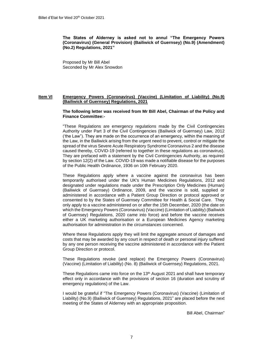**The States of Alderney is asked not to annul "The Emergency Powers (Coronavirus) (General Provision) (Bailiwick of Guernsey) (No.9) (Amendment) (No.2) Regulations, 2021"**

Proposed by Mr Bill Abel Seconded by Mr Alex Snowdon

#### **Item VI Emergency Powers (Coronavirus) (Vaccine) (Limitation of Liability) (No.9) (Bailiwick of Guernsey) Regulations, 2021**

**The following letter was received from Mr Bill Abel, Chairman of the Policy and Finance Committee:-**

"These Regulations are emergency regulations made by the Civil Contingencies Authority under Part 3 of the Civil Contingencies (Bailiwick of Guernsey) Law, 2012 ('the Law"). They are made on the occurrence of an emergency, within the meaning of the Law, in the Bailiwick arising from the urgent need to prevent, control or mitigate the spread of the virus Severe Acute Respiratory Syndrome Coronavirus 2 and the disease caused thereby, COVID-19 (referred to together in these regulations as coronavirus). They are prefaced with a statement by the Civil Contingencies Authority, as required by section 12(2) of the Law. COVID-19 was made a notifiable disease for the purposes of the Public Health Ordinance, 1936 on 10th February 2020.

These Regulations apply where a vaccine against the coronavirus has been temporarily authorised under the UK's Human Medicines Regulations, 2012 and designated under regulations made under the Prescription Only Medicines (Human) (Bailiwick of Guernsey) Ordinance, 2009, and the vaccine is sold, supplied or administered in accordance with a Patient Group Direction or protocol approved or consented to by the States of Guernsey Committee for Health & Social Care. They only apply to a vaccine administered on or after the 15th December, 2020 (the date on which the Emergency Powers (Coronavirus) (Vaccine) (Limitation of Liability) (Bailiwick of Guernsey) Regulations, 2020 came into force) and before the vaccine receives either a UK marketing authorisation or a European Medicines Agency marketing authorisation for administration in the circumstances concerned.

Where these Regulations apply they will limit the aggregate amount of damages and costs that may be awarded by any court in respect of death or personal injury suffered by any one person receiving the vaccine administered in accordance with the Patient Group Direction or protocol.

These Regulations revoke (and replace) the Emergency Powers (Coronavirus) (Vaccine) (Limitation of Liability) (No. 8) (Bailiwick of Guernsey) Regulations, 2021.

These Regulations came into force on the  $13<sup>th</sup>$  August 2021 and shall have temporary effect only in accordance with the provisions of section 16 (duration and scrutiny of emergency regulations) of the Law.

I would be grateful if "The Emergency Powers (Coronavirus) (Vaccine) (Limitation of Liability) (No.9) (Bailiwick of Guernsey) Regulations, 2021" are placed before the next meeting of the States of Alderney with an appropriate proposition.

Bill Abel, Chairman"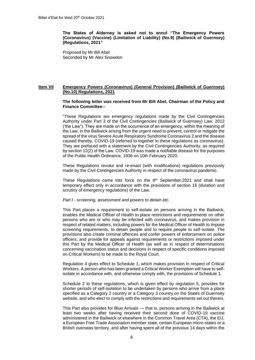**The States of Alderney is asked not to annul "The Emergency Powers (Coronavirus) (Vaccine) (Limitation of Liability) (No.9) (Bailiwick of Guernsey) (Regulations, 2021"**

Proposed by Mr Bill Abel Seconded by Mr Alex Snowdon

#### **Item VII Emergency Powers (Coronavirus) (General Provision) (Bailiwick of Guernsey) (No.10) Regulations, 2021**

#### **The following letter was received from Mr Bill Abel, Chairman of the Policy and Finance Committee:-**

"These Regulations are emergency regulations made by the Civil Contingencies Authority under Part 3 of the Civil Contingencies (Bailiwick of Guernsey) Law, 2012 ('the Law"). They are made on the occurrence of an emergency, within the meaning of the Law, in the Bailiwick arising from the urgent need to prevent, control or mitigate the spread of the virus Severe Acute Respiratory Syndrome Coronavirus 2 and the disease caused thereby, COVID-19 (referred to together in these regulations as coronavirus). They are prefaced with a statement by the Civil Contingencies Authority, as required by section 12(2) of the Law. COVID-19 was made a notifiable disease for the purposes of the Public Health Ordinance, 1936 on 10th February 2020.

These Regulations revoke and re-enact (with modifications) regulations previously made by the Civil Contingencies Authority in respect of the coronavirus pandemic.

These Regulations came into force on the 8<sup>th</sup> September, 2021 and shall have temporary effect only in accordance with the provisions of section 16 (duration and scrutiny of emergency regulations) of the Law,

#### *Part I - screening, assessment and powers to detain etc.*

This Part places a requirement to self-isolate on persons arriving in the Bailiwick, enables the Medical Officer of Health to place restrictions and requirements on other persons who are or who may be infected with coronavirus, and makes provision in respect of related matters, including powers for the Medical Officer of Health to impose screening requirements, to detain people and to require people to self-isolate. The provisions also create criminal offences and confer powers of enforcement on police officers, and provide for appeals against requirements or restrictions imposed under this Part by the Medical Officer of Health (as well as in respect of determinations concerning vaccination status and decisions in respect of specific conditions imposed on Critical Workers) to be made to the Royal Court.

Regulation 4 gives effect to Schedule 1, which makes provision in respect of Critical Workers. A person who has been granted a Critical Worker Exemption will have to selfisolate in accordance with, and otherwise comply with, the provisions of Schedule 1.

Schedule 2 to these regulations, which is given effect by regulation 5, provides for shorter periods of self-isolation to be undertaken by persons who arrive from a place specified as a Category 2 country or a Category 3 country on the States of Guernsey website, and who elect to comply with the restrictions and requirements set out therein.

This Part also provides for Blue Arrivals — that is, persons arriving in the Bailiwick at least two weeks after having received their second dose of COVID-19 vaccine administered in the Bailiwick or elsewhere in the Common Travel Area (CTA), the EU, a European Free Trade Association member state, certain European micro-states or a British overseas territory, and after having spent all of the previous 14 days within the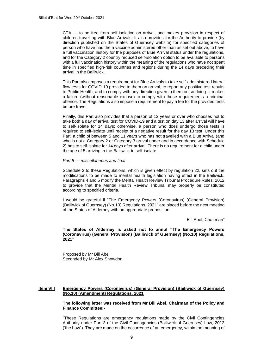CTA — to be free from self-isolation on arrival, and makes provision in respect of children travelling with Blue Arrivals. It also provides for the Authority to provide (by direction published on the States of Guernsey website) for specified categories of person who have had the a vaccine administered other than as set out above, to have a full vaccination history for the purposes of Blue Arrival status under the regulations, and for the Category 2 country reduced self-isolation option to be available to persons with a full vaccination history within the meaning of the regulations who have not spent time in specified high-risk countries and regions during the 14 days preceding their arrival in the Bailiwick.

This Part also imposes a requirement for Blue Arrivals to take self-administered lateral flow tests for COVID-19 provided to them on arrival, to report any positive test results to Public Health, and to comply with any direction given to them on so doing. It makes a failure (without reasonable excuse) to comply with these requirements a criminal offence. The Regulations also impose a requirement to pay a fee for the provided tests before travel.

Finally, this Part also provides that a person of 12 years or over who chooses not to take both a day of arrival test for COVID-19 and a test on day 13 after arrival will have to self-isolate for 14 days; otherwise, a person who does undergo those tests is required to self-isolate until receipt of a negative result for the day 13 test. Under this Part, a child of between 5 and 11 years who has not travelled with a Blue Arrival (and who is not a Category 2 or Category 3 arrival under and in accordance with Schedule 2) has to self-isolate for 14 days after arrival. There is no requirement for a child under the age of 5 arriving in the Bailiwick to self-isolate.

#### *Part II — miscellaneous and final*

Schedule 3 to these Regulations, which is given effect by regulation 22, sets out the modifications to be made to mental health legislation having effect in the Bailiwick. Paragraphs 4 and 5 modify the Mental Health Review Tribunal Procedure Rules, 2012 to provide that the Mental Health Review Tribunal may properly be constituted according to specified criteria.

I would be grateful if "The Emergency Powers (Coronavirus) (General Provision) (Bailiwick of Guernsey) (No.10) Regulations, 2021" are placed before the next meeting of the States of Alderney with an appropriate proposition.

Bill Abel, Chairman"

**The States of Alderney is asked not to annul "The Emergency Powers (Coronavirus) (General Provision) (Bailiwick of Guernsey) (No.10) Regulations, 2021"**

Proposed by Mr Bill Abel Seconded by Mr Alex Snowdon

#### **Item VIII Emergency Powers (Coronavirus) (General Provision) (Bailiwick of Guernsey) (No.10) (Amendment) Regulations, 2021**

**The following letter was received from Mr Bill Abel, Chairman of the Policy and Finance Committee:-**

"These Regulations are emergency regulations made by the Civil Contingencies Authority under Part 3 of the Civil Contingencies (Bailiwick of Guernsey) Law, 2012 ('the Law"). They are made on the occurrence of an emergency, within the meaning of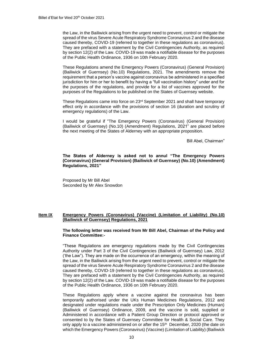the Law, in the Bailiwick arising from the urgent need to prevent, control or mitigate the spread of the virus Severe Acute Respiratory Syndrome Coronavirus 2 and the disease caused thereby, COVID-19 (referred to together in these regulations as coronavirus). They are prefaced with a statement by the Civil Contingencies Authority, as required by section 12(2) of the Law. COVID-19 was made a notifiable disease for the purposes of the Public Health Ordinance, 1936 on 10th February 2020.

These Regulations amend the Emergency Powers (Coronavirus) (General Provision) (Bailiwick of Guernsey) (No.10) Regulations, 2021. The amendments remove the requirement that a person's vaccine against coronavirus be administered in a specified jurisdiction for him or her to benefit by having a "full vaccination history" under and for the purposes of the regulations, and provide for a list of vaccines approved for the purposes of the Regulations to be published on the States of Guernsey website.

These Regulations came into force on  $23<sup>rd</sup>$  September 2021 and shall have temporary effect only in accordance with the provisions of section 16 (duration and scrutiny of emergency regulations) of the Law.

I would be grateful if "The Emergency Powers (Coronavirus) (General Provision) (Bailiwick of Guernsey) (No.10) (Amendment) Regulations, 2021" are placed before the next meeting of the States of Alderney with an appropriate proposition.

Bill Abel, Chairman"

**The States of Alderney is asked not to annul "The Emergency Powers (Coronavirus) (General Provision) (Bailiwick of Guernsey) (No.10) (Amendment) Regulations, 2021"**

Proposed by Mr Bill Abel Seconded by Mr Alex Snowdon

#### **Item IX Emergency Powers (Coronavirus) (Vaccine) (Limitation of Liability) (No.10) (Bailiwick of Guernsey) Regulations, 2021**

**The following letter was received from Mr Bill Abel, Chairman of the Policy and Finance Committee:-**

"These Regulations are emergency regulations made by the Civil Contingencies Authority under Part 3 of the Civil Contingencies (Bailiwick of Guernsey) Law, 2012 ('the Law"). They are made on the occurrence of an emergency, within the meaning of the Law, in the Bailiwick arising from the urgent need to prevent, control or mitigate the spread of the virus Severe Acute Respiratory Syndrome Coronavirus 2 and the disease caused thereby, COVID-19 (referred to together in these regulations as coronavirus). They are prefaced with a statement by the Civil Contingencies Authority, as required by section 12(2) of the Law. COVID-19 was made a notifiable disease for the purposes of the Public Health Ordinance, 1936 on 10th February 2020.

These Regulations apply where a vaccine against the coronavirus has been temporarily authorised under the UKs Human Medicines Regulations, 2012 and designated under regulations made under the Prescription Only Medicines (Human) (Bailiwick of Guernsey) Ordinance, 2009, and the vaccine is sold, supplied or Administered in accordance with a Patient Group Direction or protocol approved or consented to by the States of Guernsey Committee for Health & Social Care. They only apply to a vaccine administered on or after the 15<sup>th</sup> December, 2020 (the date on which the Emergency Powers (Coronavirus) (Vaccine) (Limitation of Liability) (Bailiwick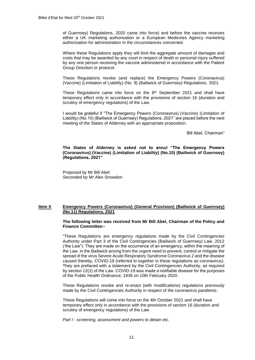of Guernsey) Regulations, 2020 came into force) and before the vaccine receives either a UK marketing authorisation or a European Medicines Agency marketing authorisation for administration in the circumstances concerned.

Where these Regulations apply they will limit the aggregate amount of damages and costs that may be awarded by any court in respect of death or personal injury suffered by any one person receiving the vaccine administered in accordance with the Patient Group Direction or protocol.

These Regulations revoke (and replace) the Emergency Powers (Coronavirus) (Vaccine) (Limitation of Liability) (No. 9) (Bailiwick of Guernsey) Regulations, 2021.

These Regulations came into force on the  $8<sup>th</sup>$  September 2021 and shall have temporary effect only in accordance with the provisions of section 16 (duration and scrutiny of emergency regulations) of the Law.

I would be grateful if "The Emergency Powers (Coronavirus) (Vaccine) (Limitation of Liability) (No.10) (Bailiwick of Guernsey) Regulations, 2021" are placed before the next meeting of the States of Alderney with an appropriate proposition.

Bill Abel, Chairman"

**The States of Alderney is asked not to annul "The Emergency Powers (Coronavirus) (Vaccine) (Limitation of Liability) (No.10) (Bailiwick of Guernsey) (Regulations, 2021"**

Proposed by Mr Bill Abel Seconded by Mr Alex Snowdon

#### **Item X Emergency Powers (Coronavirus) (General Provision) (Bailiwick of Guernsey) (No.11) Regulations, 2021**

#### **The following letter was received from Mr Bill Abel, Chairman of the Policy and Finance Committee:-**

"These Regulations are emergency regulations made by the Civil Contingencies Authority under Part 3 of the Civil Contingencies (Bailiwick of Guernsey) Law, 2012 ('the Law"). They are made on the occurrence of an emergency, within the meaning of the Law, in the Bailiwick arising from the urgent need to prevent, control or mitigate the spread of the virus Severe Acute Respiratory Syndrome Coronavirus 2 and the disease caused thereby, COVID-19 (referred to together in these regulations as coronavirus). They are prefaced with a statement by the Civil Contingencies Authority, as required by section 12(2) of the Law. COVID-19 was made a notifiable disease for the purposes of the Public Health Ordinance, 1936 on 10th February 2020.

These Regulations revoke and re-enact (with modifications) regulations previously made by the Civil Contingencies Authority in respect of the coronavirus pandemic.

These Regulations will come into force on the 4th October 2021 and shall have temporary effect only in accordance with the provisions of section 16 (duration and scrutiny of emergency regulations) of the Law.

*Part I - screening, assessment and powers to detain etc.*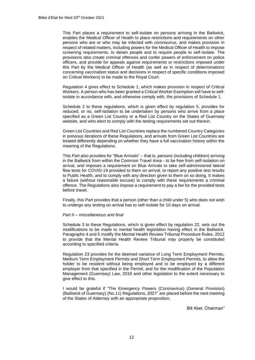This Part places a requirement to self-isolate on persons arriving in the Bailiwick, enables the Medical Officer of Health to place restrictions and requirements on other persons who are or who may be infected with coronavirus, and makes provision in respect of related matters, including powers for the Medical Officer of Health to impose screening requirements, to detain people and to require people to self-isolate. The provisions also create criminal offences and confer powers of enforcement on police officers, and provide for appeals against requirements or restrictions imposed under this Part by the Medical Officer of Health (as well as in respect of determinations concerning vaccination status and decisions in respect of specific conditions imposed on Critical Workers) to be made to the Royal Court.

Regulation 4 gives effect to Schedule 1, which makes provision in respect of Critical Workers. A person who has been granted a Critical Worker Exemption will have to selfisolate in accordance with, and otherwise comply with, the provisions of Schedule 1.

Schedule 2 to these regulations, which is given effect by regulation 5, provides for reduced, or no, self-isolation to be undertaken by persons who arrive from a place specified as a Green List Country or a Red List Country on the States of Guernsey website, and who elect to comply with the testing requirements set out therein.

Green List Countries and Red List Countries replace the numbered Country Categories in previous iterations of these Regulations, and arrivals from Green List Countries are treated differently depending on whether they have a full vaccination history within the meaning of the Regulations.

This Part also provides for "Blue Arrivals" – that is, persons (including children) arriving in the Bailiwick from within the Common Travel Area - to be free from self-isolation on arrival, and imposes a requirement on Blue Arrivals to take self-administered lateral flow tests for COVID-19 provided to them on arrival, to report any positive test results to Public Health, and to comply with any direction given to them on so doing. It makes a failure (without reasonable excuse) to comply with these requirements a criminal offence. The Regulations also impose a requirement to pay a fee for the provided tests before travel.

Finally, this Part provides that a person (other than a child under 5) who does not wish to undergo any testing on arrival has to self-isolate for 10 days on arrival.

#### *Part II – miscellaneous and final*

Schedule 3 to these Regulations, which is given effect by regulation 22, sets out the modifications to be made to mental health legislation having effect in the Bailiwick. Paragraphs 4 and 5 modify the Mental Health Review Tribunal Procedure Rules, 2012 to provide that the Mental Health Review Tribunal may properly be constituted according to specified criteria.

Regulation 23 provides for the deemed variance of Long Term Employment Permits, Medium Term Employment Permits and Short Term Employment Permits, to allow the holder to be resident without being employed and to be employed by a different employer from that specified in the Permit; and for the modification of the Population Management (Guernsey) Law, 2016 and other legislation to the extent necessary to give effect to this.

I would be grateful if "The Emergency Powers (Coronavirus) (General Provision) (Bailiwick of Guernsey) (No.11) Regulations, 2021" are placed before the next meeting of the States of Alderney with an appropriate proposition.

Bill Abel, Chairman"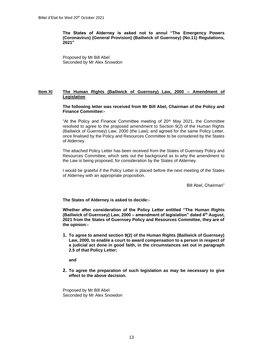**The States of Alderney is asked not to annul "The Emergency Powers (Coronavirus) (General Provision) (Bailiwick of Guernsey) (No.11) Regulations, 2021"**

Proposed by Mr Bill Abel Seconded by Mr Alex Snowdon

#### **Item XI The Human Rights (Bailiwick of Guernsey) Law, 2000 – Amendment of Legislation**

**The following letter was received from Mr Bill Abel, Chairman of the Policy and Finance Committee:-**

"At the Policy and Finance Committee meeting of  $20<sup>th</sup>$  May 2021, the Committee resolved to agree to the proposed amendment to Section 9(2) of the Human Rights (Bailiwick of Guernsey) Law, 2000 (the Law); and agreed for the same Policy Letter, once finalised by the Policy and Resources Committee to be considered by the States of Alderney.

The attached Policy Letter has been received from the States of Guernsey Policy and Resources Committee, which sets out the background as to why the amendment to the Law is being proposed, for consideration by the States of Alderney.

I would be grateful if the Policy Letter is placed before the next meeting of the States of Alderney with an appropriate proposition.

Bill Abel, Chairman"

**The States of Alderney is asked to decide:-**

**Whether after consideration of the Policy Letter entitled "The Human Rights (Bailiwick of Guernsey) Law, 2000 – amendment of legislation" dated 4th August, 2021 from the States of Guernsey Policy and Resources Committee, they are of the opinion:-**

**1. To agree to amend section 9(2) of the Human Rights (Bailiwick of Guernsey) Law, 2000, to enable a court to award compensation to a person in respect of a judicial act done in good faith, in the circumstances set out in paragraph 2.5 of that Policy Letter;** 

**and** 

**2. To agree the preparation of such legislation as may be necessary to give effect to the above decision.**

Proposed by Mr Bill Abel Seconded by Mr Alex Snowdon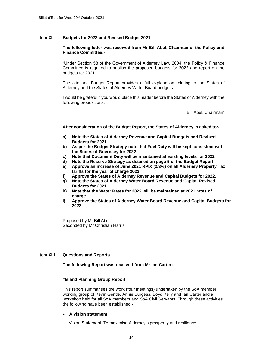#### **Item XII Budgets for 2022 and Revised Budget 2021**

#### **The following letter was received from Mr Bill Abel, Chairman of the Policy and Finance Committee:-**

"Under Section 58 of the Government of Alderney Law, 2004, the Policy & Finance Committee is required to publish the proposed budgets for 2022 and report on the budgets for 2021.

The attached Budget Report provides a full explanation relating to the States of Alderney and the States of Alderney Water Board budgets.

I would be grateful if you would place this matter before the States of Alderney with the following propositions.

Bill Abel, Chairman"

**After consideration of the Budget Report, the States of Alderney is asked to:-**

- **a) Note the States of Alderney Revenue and Capital Budgets and Revised Budgets for 2021**
- **b) As per the Budget Strategy note that Fuel Duty will be kept consistent with the States of Guernsey for 2022**
- **c) Note that Document Duty will be maintained at existing levels for 2022**
- **d) Note the Reserve Strategy as detailed on page 5 of the Budget Report**
- **e) Approve an increase of June 2021 RPIX (2.3%) on all Alderney Property Tax tariffs for the year of charge 2022**
- **f) Approve the States of Alderney Revenue and Capital Budgets for 2022.**
- **g) Note the States of Alderney Water Board Revenue and Capital Revised Budgets for 2021**
- **h) Note that the Water Rates for 2022 will be maintained at 2021 rates of charge**
- **i) Approve the States of Alderney Water Board Revenue and Capital Budgets for 2022**

Proposed by Mr Bill Abel Seconded by Mr Christian Harris

#### **Item XIII Questions and Reports**

**The following Report was received from Mr Ian Carter:-**

#### **"Island Planning Group Report**

This report summarises the work (four meetings) undertaken by the SoA member working group of Kevin Gentle, Annie Burgess, Boyd Kelly and Ian Carter and a workshop held for all SoA members and SoA Civil Servants. Through these activities the following have been established:-

#### • **A vision statement**

Vision Statement 'To maximise Alderney's prosperity and resilience.'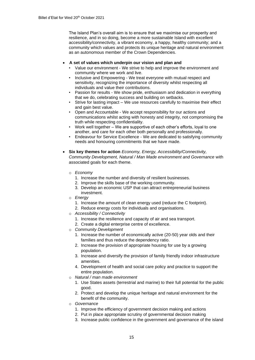The Island Plan's overall aim is to ensure that we maximise our prosperity and resilience, and in so doing, become a more sustainable Island with excellent accessibility/connectivity, a vibrant economy, a happy, healthy community; and a community which values and protects its unique heritage and natural environment as an autonomous member of the Crown Dependencies.

#### • **A set of values which underpin our vision and plan and**

- Value our environment We strive to help and improve the environment and community where we work and live.
- Inclusive and Empowering We treat everyone with mutual respect and sensitivity, recognizing the importance of diversity whilst respecting all individuals and value their contributions.
- Passion for results We show pride, enthusiasm and dedication in everything that we do, celebrating success and building on setbacks.
- Strive for lasting impact We use resources carefully to maximise their effect and gain best value.
- Open and Accountable We accept responsibility for our actions and communications whilst acting with honesty and integrity, not compromising the truth while respecting confidentiality.
- Work well together We are supportive of each other's efforts, loyal to one another, and care for each other both personally and professionally.
- Endeavour for Service Excellence We are dedicated to satisfying community needs and honouring commitments that we have made.
- **Six key themes for action** *Economy, Energy, Accessibility/Connectivity, Community Development, Natural / Man Made environment and Governance* with associated goals for each theme.
	- o *Economy*
		- 1. Increase the number and diversity of resilient businesses.
		- 2. Improve the skills base of the working community.
		- 3. Develop an economic USP that can attract entrepreneurial business investment.
	- o *Energy*
		- 1. Increase the amount of clean energy used (reduce the C footprint).
		- 2. Reduce energy costs for individuals and organisations.
	- o *Accessibility / Connectivity*
		- 1. Increase the resilience and capacity of air and sea transport.
		- 2. Create a digital enterprise centre of excellence.
	- o *Community Development*
		- 1. Increase the number of economically active (20-50) year olds and their families and thus reduce the dependency ratio.
		- 2. Increase the provision of appropriate housing for use by a growing population.
		- 3. Increase and diversify the provision of family friendly indoor infrastructure amenities.
		- 4. Development of health and social care policy and practice to support the entire population.
	- o *Natural / man made environment*
		- 1. Use States assets (terrestrial and marine) to their full potential for the public good.
		- 2. Protect and develop the unique heritage and natural environment for the benefit of the community.
	- o *Governance*
		- 1. Improve the efficiency of government decision making and actions
		- 2. Put in place appropriate scrutiny of governmental decision making
		- 3. Increase public confidence in the government and governance of the island